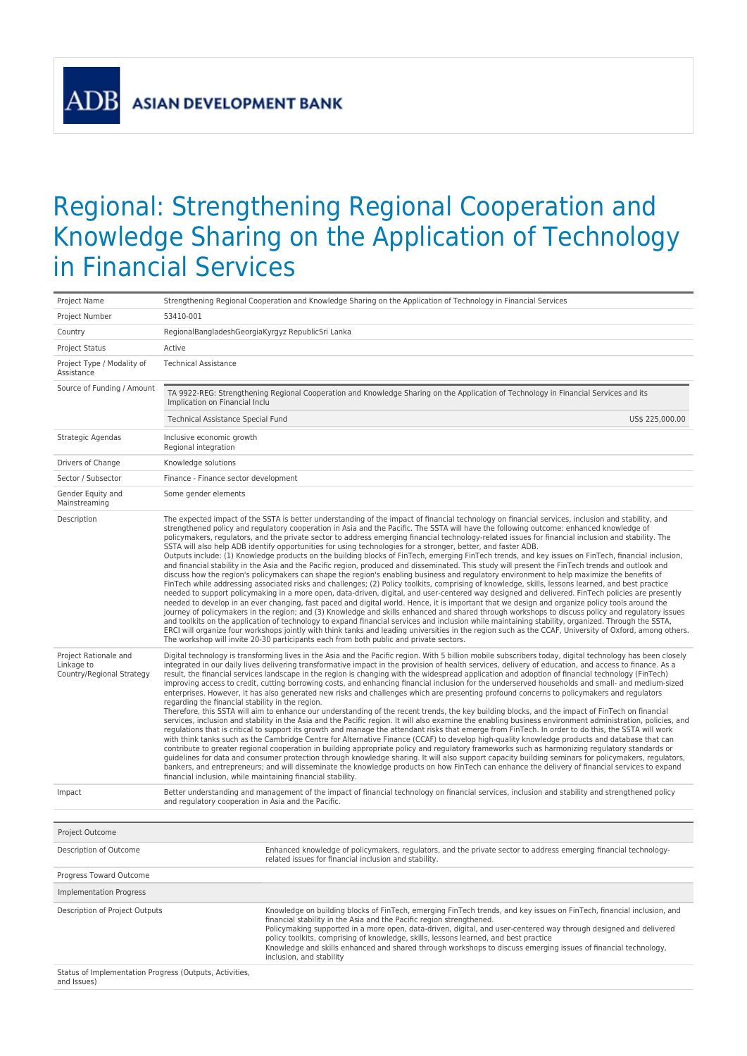## Regional: Strengthening Regional Cooperation and Knowledge Sharing on the Application of Technology in Financial Services

| Project Name                                                           | Strengthening Regional Cooperation and Knowledge Sharing on the Application of Technology in Financial Services                                                                                                                                                                                                                                                                                                                                                                                                                                                                                                                                                                                                                                                                                                                                                                                                                                                                                                                                                                                                                                                                                                                                                                                                                                                                                                                                                                                                                                                                                                                                                                                                                                                                                                                                                                                                                                                                                                                                              |  |  |  |  |
|------------------------------------------------------------------------|--------------------------------------------------------------------------------------------------------------------------------------------------------------------------------------------------------------------------------------------------------------------------------------------------------------------------------------------------------------------------------------------------------------------------------------------------------------------------------------------------------------------------------------------------------------------------------------------------------------------------------------------------------------------------------------------------------------------------------------------------------------------------------------------------------------------------------------------------------------------------------------------------------------------------------------------------------------------------------------------------------------------------------------------------------------------------------------------------------------------------------------------------------------------------------------------------------------------------------------------------------------------------------------------------------------------------------------------------------------------------------------------------------------------------------------------------------------------------------------------------------------------------------------------------------------------------------------------------------------------------------------------------------------------------------------------------------------------------------------------------------------------------------------------------------------------------------------------------------------------------------------------------------------------------------------------------------------------------------------------------------------------------------------------------------------|--|--|--|--|
| Project Number                                                         | 53410-001                                                                                                                                                                                                                                                                                                                                                                                                                                                                                                                                                                                                                                                                                                                                                                                                                                                                                                                                                                                                                                                                                                                                                                                                                                                                                                                                                                                                                                                                                                                                                                                                                                                                                                                                                                                                                                                                                                                                                                                                                                                    |  |  |  |  |
| Country                                                                | RegionalBangladeshGeorgiaKyrgyz RepublicSri Lanka                                                                                                                                                                                                                                                                                                                                                                                                                                                                                                                                                                                                                                                                                                                                                                                                                                                                                                                                                                                                                                                                                                                                                                                                                                                                                                                                                                                                                                                                                                                                                                                                                                                                                                                                                                                                                                                                                                                                                                                                            |  |  |  |  |
| <b>Project Status</b>                                                  | Active                                                                                                                                                                                                                                                                                                                                                                                                                                                                                                                                                                                                                                                                                                                                                                                                                                                                                                                                                                                                                                                                                                                                                                                                                                                                                                                                                                                                                                                                                                                                                                                                                                                                                                                                                                                                                                                                                                                                                                                                                                                       |  |  |  |  |
| Project Type / Modality of<br>Assistance                               | <b>Technical Assistance</b>                                                                                                                                                                                                                                                                                                                                                                                                                                                                                                                                                                                                                                                                                                                                                                                                                                                                                                                                                                                                                                                                                                                                                                                                                                                                                                                                                                                                                                                                                                                                                                                                                                                                                                                                                                                                                                                                                                                                                                                                                                  |  |  |  |  |
| Source of Funding / Amount                                             | TA 9922-REG: Strengthening Regional Cooperation and Knowledge Sharing on the Application of Technology in Financial Services and its<br>Implication on Financial Inclu                                                                                                                                                                                                                                                                                                                                                                                                                                                                                                                                                                                                                                                                                                                                                                                                                                                                                                                                                                                                                                                                                                                                                                                                                                                                                                                                                                                                                                                                                                                                                                                                                                                                                                                                                                                                                                                                                       |  |  |  |  |
|                                                                        | Technical Assistance Special Fund<br>US\$ 225,000.00                                                                                                                                                                                                                                                                                                                                                                                                                                                                                                                                                                                                                                                                                                                                                                                                                                                                                                                                                                                                                                                                                                                                                                                                                                                                                                                                                                                                                                                                                                                                                                                                                                                                                                                                                                                                                                                                                                                                                                                                         |  |  |  |  |
| Strategic Agendas                                                      | Inclusive economic growth<br>Regional integration                                                                                                                                                                                                                                                                                                                                                                                                                                                                                                                                                                                                                                                                                                                                                                                                                                                                                                                                                                                                                                                                                                                                                                                                                                                                                                                                                                                                                                                                                                                                                                                                                                                                                                                                                                                                                                                                                                                                                                                                            |  |  |  |  |
| Drivers of Change                                                      | Knowledge solutions                                                                                                                                                                                                                                                                                                                                                                                                                                                                                                                                                                                                                                                                                                                                                                                                                                                                                                                                                                                                                                                                                                                                                                                                                                                                                                                                                                                                                                                                                                                                                                                                                                                                                                                                                                                                                                                                                                                                                                                                                                          |  |  |  |  |
| Sector / Subsector                                                     | Finance - Finance sector development                                                                                                                                                                                                                                                                                                                                                                                                                                                                                                                                                                                                                                                                                                                                                                                                                                                                                                                                                                                                                                                                                                                                                                                                                                                                                                                                                                                                                                                                                                                                                                                                                                                                                                                                                                                                                                                                                                                                                                                                                         |  |  |  |  |
| Gender Equity and<br>Mainstreaming                                     | Some gender elements                                                                                                                                                                                                                                                                                                                                                                                                                                                                                                                                                                                                                                                                                                                                                                                                                                                                                                                                                                                                                                                                                                                                                                                                                                                                                                                                                                                                                                                                                                                                                                                                                                                                                                                                                                                                                                                                                                                                                                                                                                         |  |  |  |  |
| Description                                                            | The expected impact of the SSTA is better understanding of the impact of financial technology on financial services, inclusion and stability, and<br>strengthened policy and regulatory cooperation in Asia and the Pacific. The SSTA will have the following outcome: enhanced knowledge of<br>policymakers, regulators, and the private sector to address emerging financial technology-related issues for financial inclusion and stability. The<br>SSTA will also help ADB identify opportunities for using technologies for a stronger, better, and faster ADB.<br>Outputs include: (1) Knowledge products on the building blocks of FinTech, emerging FinTech trends, and key issues on FinTech, financial inclusion,<br>and financial stability in the Asia and the Pacific region, produced and disseminated. This study will present the FinTech trends and outlook and<br>discuss how the region's policymakers can shape the region's enabling business and regulatory environment to help maximize the benefits of<br>FinTech while addressing associated risks and challenges; (2) Policy toolkits, comprising of knowledge, skills, lessons learned, and best practice<br>needed to support policymaking in a more open, data-driven, digital, and user-centered way designed and delivered. FinTech policies are presently<br>needed to develop in an ever changing, fast paced and digital world. Hence, it is important that we design and organize policy tools around the<br>journey of policymakers in the region; and (3) Knowledge and skills enhanced and shared through workshops to discuss policy and regulatory issues<br>and toolkits on the application of technology to expand financial services and inclusion while maintaining stability, organized. Through the SSTA,<br>ERCI will organize four workshops jointly with think tanks and leading universities in the region such as the CCAF, University of Oxford, among others.<br>The workshop will invite 20-30 participants each from both public and private sectors. |  |  |  |  |
| Project Rationale and<br>Linkage to<br>Country/Regional Strategy       | Digital technology is transforming lives in the Asia and the Pacific region. With 5 billion mobile subscribers today, digital technology has been closely<br>integrated in our daily lives delivering transformative impact in the provision of health services, delivery of education, and access to finance. As a<br>result, the financial services landscape in the region is changing with the widespread application and adoption of financial technology (FinTech)<br>improving access to credit, cutting borrowing costs, and enhancing financial inclusion for the underserved households and small- and medium-sized<br>enterprises. However, it has also generated new risks and challenges which are presenting profound concerns to policymakers and regulators<br>regarding the financial stability in the region.<br>Therefore, this SSTA will aim to enhance our understanding of the recent trends, the key building blocks, and the impact of FinTech on financial<br>services, inclusion and stability in the Asia and the Pacific region. It will also examine the enabling business environment administration, policies, and<br>regulations that is critical to support its growth and manage the attendant risks that emerge from FinTech. In order to do this, the SSTA will work<br>with think tanks such as the Cambridge Centre for Alternative Finance (CCAF) to develop high-quality knowledge products and database that can<br>contribute to greater regional cooperation in building appropriate policy and regulatory frameworks such as harmonizing regulatory standards or<br>guidelines for data and consumer protection through knowledge sharing. It will also support capacity building seminars for policymakers, regulators,<br>bankers, and entrepreneurs; and will disseminate the knowledge products on how FinTech can enhance the delivery of financial services to expand<br>financial inclusion, while maintaining financial stability.                                                                       |  |  |  |  |
| Impact                                                                 | Better understanding and management of the impact of financial technology on financial services, inclusion and stability and strengthened policy<br>and regulatory cooperation in Asia and the Pacific.                                                                                                                                                                                                                                                                                                                                                                                                                                                                                                                                                                                                                                                                                                                                                                                                                                                                                                                                                                                                                                                                                                                                                                                                                                                                                                                                                                                                                                                                                                                                                                                                                                                                                                                                                                                                                                                      |  |  |  |  |
|                                                                        |                                                                                                                                                                                                                                                                                                                                                                                                                                                                                                                                                                                                                                                                                                                                                                                                                                                                                                                                                                                                                                                                                                                                                                                                                                                                                                                                                                                                                                                                                                                                                                                                                                                                                                                                                                                                                                                                                                                                                                                                                                                              |  |  |  |  |
| Project Outcome                                                        |                                                                                                                                                                                                                                                                                                                                                                                                                                                                                                                                                                                                                                                                                                                                                                                                                                                                                                                                                                                                                                                                                                                                                                                                                                                                                                                                                                                                                                                                                                                                                                                                                                                                                                                                                                                                                                                                                                                                                                                                                                                              |  |  |  |  |
| Description of Outcome                                                 | Enhanced knowledge of policymakers, regulators, and the private sector to address emerging financial technology-<br>related issues for financial inclusion and stability.                                                                                                                                                                                                                                                                                                                                                                                                                                                                                                                                                                                                                                                                                                                                                                                                                                                                                                                                                                                                                                                                                                                                                                                                                                                                                                                                                                                                                                                                                                                                                                                                                                                                                                                                                                                                                                                                                    |  |  |  |  |
| Progress Toward Outcome                                                |                                                                                                                                                                                                                                                                                                                                                                                                                                                                                                                                                                                                                                                                                                                                                                                                                                                                                                                                                                                                                                                                                                                                                                                                                                                                                                                                                                                                                                                                                                                                                                                                                                                                                                                                                                                                                                                                                                                                                                                                                                                              |  |  |  |  |
| <b>Implementation Progress</b>                                         |                                                                                                                                                                                                                                                                                                                                                                                                                                                                                                                                                                                                                                                                                                                                                                                                                                                                                                                                                                                                                                                                                                                                                                                                                                                                                                                                                                                                                                                                                                                                                                                                                                                                                                                                                                                                                                                                                                                                                                                                                                                              |  |  |  |  |
| Description of Project Outputs                                         | Knowledge on building blocks of FinTech, emerging FinTech trends, and key issues on FinTech, financial inclusion, and<br>financial stability in the Asia and the Pacific region strengthened.<br>Policymaking supported in a more open, data-driven, digital, and user-centered way through designed and delivered<br>policy toolkits, comprising of knowledge, skills, lessons learned, and best practice<br>Knowledge and skills enhanced and shared through workshops to discuss emerging issues of financial technology,<br>inclusion, and stability                                                                                                                                                                                                                                                                                                                                                                                                                                                                                                                                                                                                                                                                                                                                                                                                                                                                                                                                                                                                                                                                                                                                                                                                                                                                                                                                                                                                                                                                                                     |  |  |  |  |
| Status of Implementation Progress (Outputs, Activities,<br>and Issues) |                                                                                                                                                                                                                                                                                                                                                                                                                                                                                                                                                                                                                                                                                                                                                                                                                                                                                                                                                                                                                                                                                                                                                                                                                                                                                                                                                                                                                                                                                                                                                                                                                                                                                                                                                                                                                                                                                                                                                                                                                                                              |  |  |  |  |